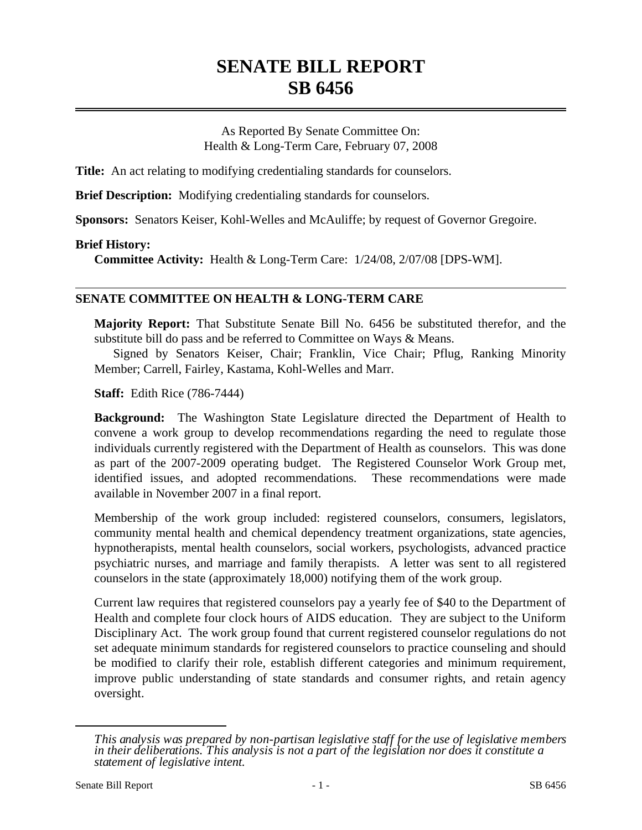# **SENATE BILL REPORT SB 6456**

As Reported By Senate Committee On: Health & Long-Term Care, February 07, 2008

**Title:** An act relating to modifying credentialing standards for counselors.

**Brief Description:** Modifying credentialing standards for counselors.

**Sponsors:** Senators Keiser, Kohl-Welles and McAuliffe; by request of Governor Gregoire.

#### **Brief History:**

**Committee Activity:** Health & Long-Term Care: 1/24/08, 2/07/08 [DPS-WM].

### **SENATE COMMITTEE ON HEALTH & LONG-TERM CARE**

**Majority Report:** That Substitute Senate Bill No. 6456 be substituted therefor, and the substitute bill do pass and be referred to Committee on Ways & Means.

Signed by Senators Keiser, Chair; Franklin, Vice Chair; Pflug, Ranking Minority Member; Carrell, Fairley, Kastama, Kohl-Welles and Marr.

**Staff:** Edith Rice (786-7444)

**Background:** The Washington State Legislature directed the Department of Health to convene a work group to develop recommendations regarding the need to regulate those individuals currently registered with the Department of Health as counselors. This was done as part of the 2007-2009 operating budget. The Registered Counselor Work Group met, identified issues, and adopted recommendations. These recommendations were made available in November 2007 in a final report.

Membership of the work group included: registered counselors, consumers, legislators, community mental health and chemical dependency treatment organizations, state agencies, hypnotherapists, mental health counselors, social workers, psychologists, advanced practice psychiatric nurses, and marriage and family therapists. A letter was sent to all registered counselors in the state (approximately 18,000) notifying them of the work group.

Current law requires that registered counselors pay a yearly fee of \$40 to the Department of Health and complete four clock hours of AIDS education. They are subject to the Uniform Disciplinary Act. The work group found that current registered counselor regulations do not set adequate minimum standards for registered counselors to practice counseling and should be modified to clarify their role, establish different categories and minimum requirement, improve public understanding of state standards and consumer rights, and retain agency oversight.

*This analysis was prepared by non-partisan legislative staff for the use of legislative members in their deliberations. This analysis is not a part of the legislation nor does it constitute a statement of legislative intent.*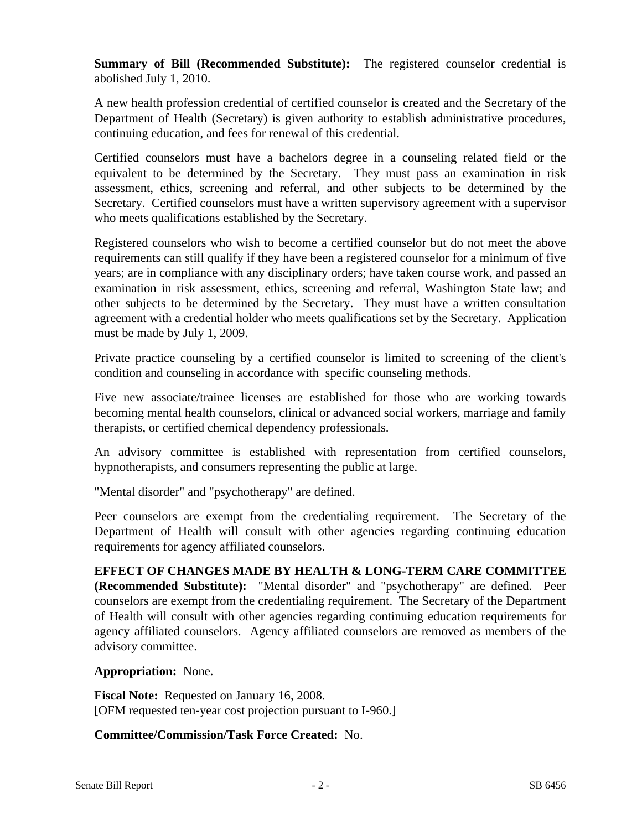**Summary of Bill (Recommended Substitute):** The registered counselor credential is abolished July 1, 2010.

A new health profession credential of certified counselor is created and the Secretary of the Department of Health (Secretary) is given authority to establish administrative procedures, continuing education, and fees for renewal of this credential.

Certified counselors must have a bachelors degree in a counseling related field or the equivalent to be determined by the Secretary. They must pass an examination in risk assessment, ethics, screening and referral, and other subjects to be determined by the Secretary. Certified counselors must have a written supervisory agreement with a supervisor who meets qualifications established by the Secretary.

Registered counselors who wish to become a certified counselor but do not meet the above requirements can still qualify if they have been a registered counselor for a minimum of five years; are in compliance with any disciplinary orders; have taken course work, and passed an examination in risk assessment, ethics, screening and referral, Washington State law; and other subjects to be determined by the Secretary. They must have a written consultation agreement with a credential holder who meets qualifications set by the Secretary. Application must be made by July 1, 2009.

Private practice counseling by a certified counselor is limited to screening of the client's condition and counseling in accordance with specific counseling methods.

Five new associate/trainee licenses are established for those who are working towards becoming mental health counselors, clinical or advanced social workers, marriage and family therapists, or certified chemical dependency professionals.

An advisory committee is established with representation from certified counselors, hypnotherapists, and consumers representing the public at large.

"Mental disorder" and "psychotherapy" are defined.

Peer counselors are exempt from the credentialing requirement. The Secretary of the Department of Health will consult with other agencies regarding continuing education requirements for agency affiliated counselors.

**EFFECT OF CHANGES MADE BY HEALTH & LONG-TERM CARE COMMITTEE (Recommended Substitute):** "Mental disorder" and "psychotherapy" are defined. Peer counselors are exempt from the credentialing requirement. The Secretary of the Department of Health will consult with other agencies regarding continuing education requirements for agency affiliated counselors. Agency affiliated counselors are removed as members of the advisory committee.

## **Appropriation:** None.

**Fiscal Note:** Requested on January 16, 2008. [OFM requested ten-year cost projection pursuant to I-960.]

## **Committee/Commission/Task Force Created:** No.